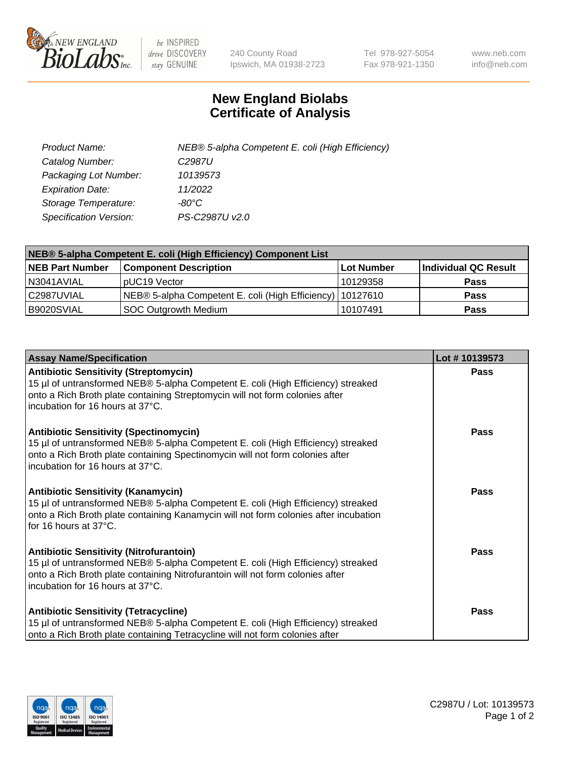

 $be$  INSPIRED drive DISCOVERY stay GENUINE

240 County Road Ipswich, MA 01938-2723 Tel 978-927-5054 Fax 978-921-1350 www.neb.com info@neb.com

## **New England Biolabs Certificate of Analysis**

| Product Name:                 | NEB® 5-alpha Competent E. coli (High Efficiency) |
|-------------------------------|--------------------------------------------------|
| Catalog Number:               | C <sub>2987</sub> U                              |
| Packaging Lot Number:         | 10139573                                         |
| <b>Expiration Date:</b>       | 11/2022                                          |
| Storage Temperature:          | -80°C                                            |
| <b>Specification Version:</b> | PS-C2987U v2.0                                   |

| NEB® 5-alpha Competent E. coli (High Efficiency) Component List |                                                             |            |                      |  |
|-----------------------------------------------------------------|-------------------------------------------------------------|------------|----------------------|--|
| <b>NEB Part Number</b>                                          | <b>Component Description</b>                                | Lot Number | Individual QC Result |  |
| N3041AVIAL                                                      | pUC19 Vector                                                | 10129358   | <b>Pass</b>          |  |
| C2987UVIAL                                                      | NEB® 5-alpha Competent E. coli (High Efficiency)   10127610 |            | <b>Pass</b>          |  |
| B9020SVIAL                                                      | <b>SOC Outgrowth Medium</b>                                 | 10107491   | <b>Pass</b>          |  |

| <b>Assay Name/Specification</b>                                                                                                                                                                                                                          | Lot #10139573 |
|----------------------------------------------------------------------------------------------------------------------------------------------------------------------------------------------------------------------------------------------------------|---------------|
| <b>Antibiotic Sensitivity (Streptomycin)</b><br>15 µl of untransformed NEB® 5-alpha Competent E. coli (High Efficiency) streaked<br>onto a Rich Broth plate containing Streptomycin will not form colonies after<br>incubation for 16 hours at 37°C.     | <b>Pass</b>   |
| <b>Antibiotic Sensitivity (Spectinomycin)</b><br>15 µl of untransformed NEB® 5-alpha Competent E. coli (High Efficiency) streaked<br>onto a Rich Broth plate containing Spectinomycin will not form colonies after<br>incubation for 16 hours at 37°C.   | Pass          |
| Antibiotic Sensitivity (Kanamycin)<br>15 µl of untransformed NEB® 5-alpha Competent E. coli (High Efficiency) streaked<br>onto a Rich Broth plate containing Kanamycin will not form colonies after incubation<br>for 16 hours at 37°C.                  | Pass          |
| <b>Antibiotic Sensitivity (Nitrofurantoin)</b><br>15 µl of untransformed NEB® 5-alpha Competent E. coli (High Efficiency) streaked<br>onto a Rich Broth plate containing Nitrofurantoin will not form colonies after<br>incubation for 16 hours at 37°C. | <b>Pass</b>   |
| <b>Antibiotic Sensitivity (Tetracycline)</b><br>15 µl of untransformed NEB® 5-alpha Competent E. coli (High Efficiency) streaked<br>onto a Rich Broth plate containing Tetracycline will not form colonies after                                         | Pass          |